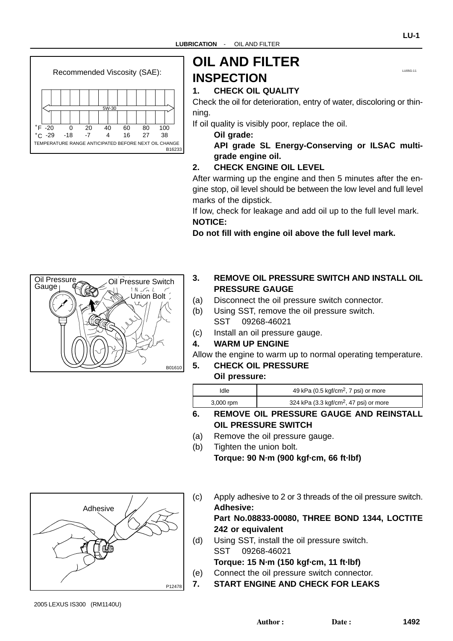<span id="page-0-0"></span>

# **OIL AND FILTER INSPECTION**

#### **1. CHECK OIL QUALITY**

Check the oil for deterioration, entry of water, discoloring or thinning.

If oil quality is visibly poor, replace the oil.

- **Oil grade:**
- **API grade SL Energy-Conserving or ILSAC multigrade engine oil.**

#### **2. CHECK ENGINE OIL LEVEL**

After warming up the engine and then 5 minutes after the engine stop, oil level should be between the low level and full level marks of the dipstick.

If low, check for leakage and add oil up to the full level mark. **NOTICE:**

**Do not fill with engine oil above the full level mark.**



- **3. REMOVE OIL PRESSURE SWITCH AND INSTALL OIL PRESSURE GAUGE**
- (a) Disconnect the oil pressure switch connector.
- (b) Using SST, remove the oil pressure switch. SST 09268-46021
- (c) Install an oil pressure gauge.

#### **4. WARM UP ENGINE**

Allow the engine to warm up to normal operating temperature.

**5. CHECK OIL PRESSURE**

#### **Oil pressure:**

| Idle      | 49 kPa (0.5 kgf/cm <sup>2</sup> , 7 psi) or more         |  |
|-----------|----------------------------------------------------------|--|
| 3,000 rpm | 324 kPa $(3.3 \text{ kgf/cm}^2, 47 \text{ psi})$ or more |  |

- **6. REMOVE OIL PRESSURE GAUGE AND REINSTALL OIL PRESSURE SWITCH**
- (a) Remove the oil pressure gauge.
- (b) Tighten the union bolt. **Torque: 90 N·m (900 kgf·cm, 66 ft·lbf)**



**Part No.08833-00080, THREE BOND 1344, LOCTITE 242 or equivalent**

(d) Using SST, install the oil pressure switch. SST 09268-46021

**Torque: 15 N·m (150 kgf·cm, 11 ft·lbf)**

- (e) Connect the oil pressure switch connector.
- **7. START ENGINE AND CHECK FOR LEAKS**



2005 LEXUS IS300 (RM1140U)

LU05G-11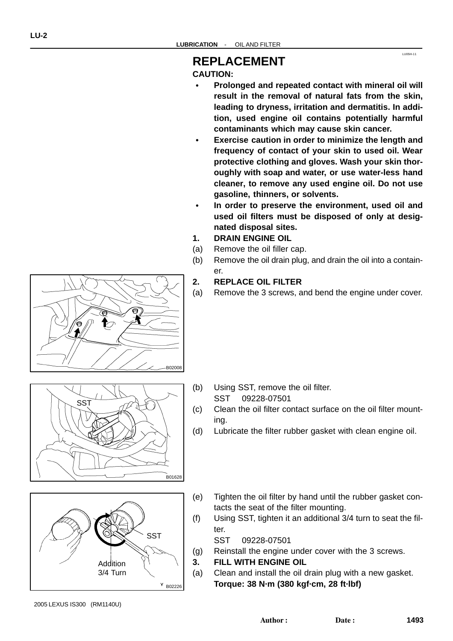## **CAUTION:**

 **Prolonged and repeated contact with mineral oil will result in the removal of natural fats from the skin, leading to dryness, irritation and dermatitis. In addition, used engine oil contains potentially harmful contaminants which may cause skin cancer.**

LU05H-11

- **Exercise caution in order to minimize the length and frequency of contact of your skin to used oil. Wear protective clothing and gloves. Wash your skin thoroughly with soap and water, or use water-less hand cleaner, to remove any used engine oil. Do not use gasoline, thinners, or solvents.**
- **In order to preserve the environment, used oil and used oil filters must be disposed of only at designated disposal sites.**
- **1. DRAIN ENGINE OIL**
- (a) Remove the oil filler cap.
- (b) Remove the oil drain plug, and drain the oil into a container.

#### **2. REPLACE OIL FILTER**

(a) Remove the 3 screws, and bend the engine under cover.



ౚ

- (b) Using SST, remove the oil filter. SST 09228-07501
- (c) Clean the oil filter contact surface on the oil filter mounting.
- (d) Lubricate the filter rubber gasket with clean engine oil.
- Y B02226 **Addition** 3/4 Turn **SST**

B01628

- (e) Tighten the oil filter by hand until the rubber gasket contacts the seat of the filter mounting.
- (f) Using SST, tighten it an additional 3/4 turn to seat the filter.

SST 09228-07501

- (g) Reinstall the engine under cover with the 3 screws.
- **3. FILL WITH ENGINE OIL**
- (a) Clean and install the oil drain plug with a new gasket. **Torque: 38 N·m (380 kgf·cm, 28 ft·lbf)**

2005 LEXUS IS300 (RM1140U)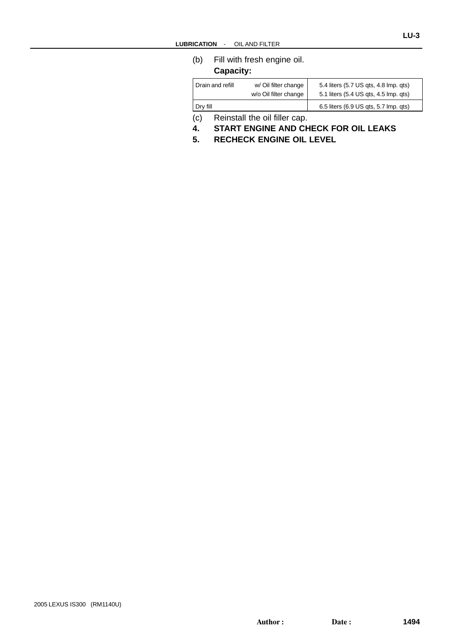(b) Fill with fresh engine oil. **Capacity:**

| Drain and refill | w/ Oil filter change         | 5.4 liters (5.7 US gts, 4.8 lmp. gts) |
|------------------|------------------------------|---------------------------------------|
|                  | w/o Oil filter change        | 5.1 liters (5.4 US gts, 4.5 lmp. gts) |
| Dry fill         |                              | 6.5 liters (6.9 US qts, 5.7 lmp. qts) |
| ۱ بر ا           | Doinatell the oil filler con |                                       |

(c) Reinstall the oil filler cap.

- **4. START ENGINE AND CHECK FOR OIL LEAKS**
- **5. RECHECK ENGINE OIL LEVEL**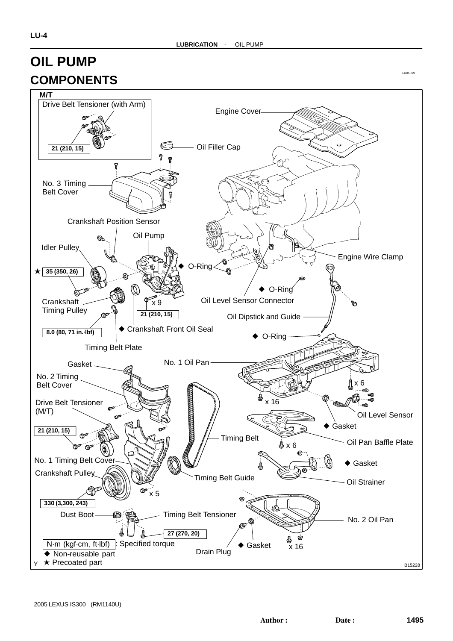# **OIL PUMP COMPONENTS**



LU05I-09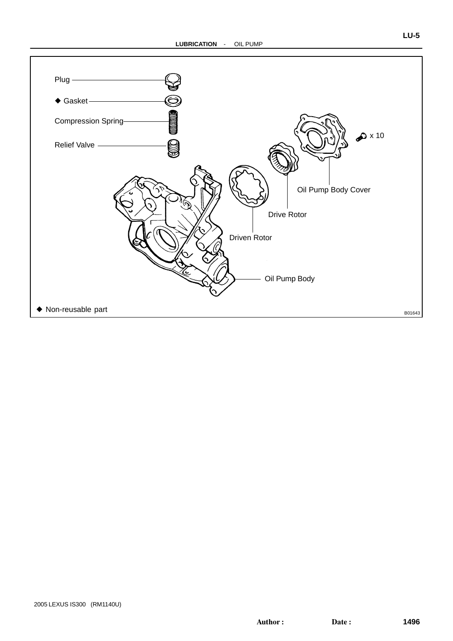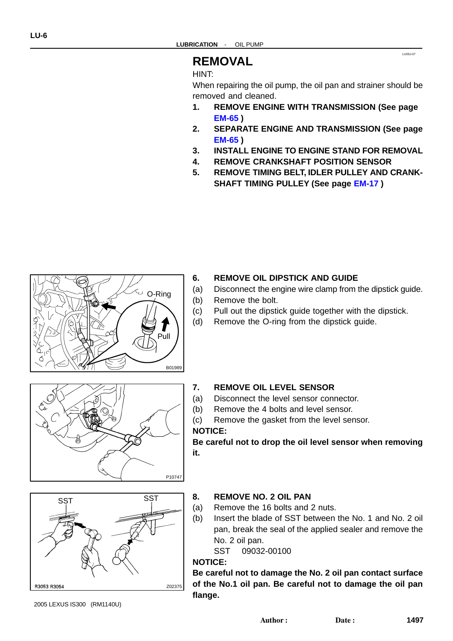### **REMOVAL**

#### HINT:

When repairing the oil pump, the oil pan and strainer should be removed and cleaned.

LU05J-07

- **1. REMOVE ENGINE WITH TRANSMISSION (See page [EM-65](#page-0-0) )**
- **2. SEPARATE ENGINE AND TRANSMISSION (See page [EM-65](#page-0-0) )**
- **3. INSTALL ENGINE TO ENGINE STAND FOR REMOVAL**
- **4. REMOVE CRANKSHAFT POSITION SENSOR**
- **5. REMOVE TIMING BELT, IDLER PULLEY AND CRANK-SHAFT TIMING PULLEY (See page [EM-17](#page-0-0) )**



#### **6. REMOVE OIL DIPSTICK AND GUIDE**

- (a) Disconnect the engine wire clamp from the dipstick guide.
- (b) Remove the bolt.
- (c) Pull out the dipstick guide together with the dipstick.
- (d) Remove the O-ring from the dipstick guide.



- (a) Disconnect the level sensor connector.
- (b) Remove the 4 bolts and level sensor.
- (c) Remove the gasket from the level sensor. **NOTICE:**

**Be careful not to drop the oil level sensor when removing it.**

# ss<del>t</del> SST Z02375 R3053 R3054

**8. REMOVE NO. 2 OIL PAN**

- (a) Remove the 16 bolts and 2 nuts.
- (b) Insert the blade of SST between the No. 1 and No. 2 oil pan, break the seal of the applied sealer and remove the No. 2 oil pan.

```
SST 09032-00100
```
#### **NOTICE:**

P10747

**Be careful not to damage the No. 2 oil pan contact surface of the No.1 oil pan. Be careful not to damage the oil pan flange.**

2005 LEXUS IS300 (RM1140U)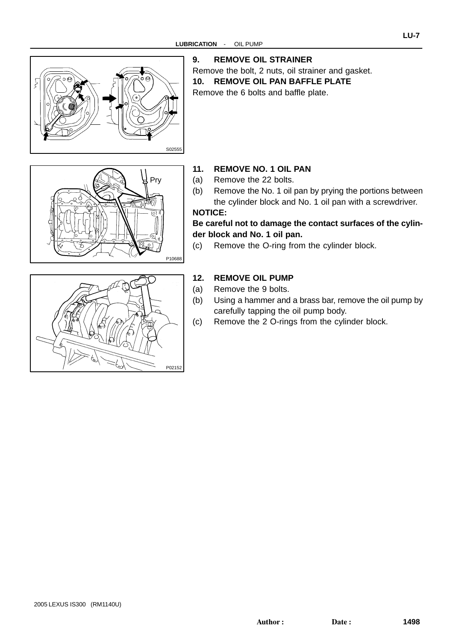

#### **9. REMOVE OIL STRAINER**

Remove the bolt, 2 nuts, oil strainer and gasket. **10. REMOVE OIL PAN BAFFLE PLATE**

Remove the 6 bolts and baffle plate.





#### **11. REMOVE NO. 1 OIL PAN**

- (a) Remove the 22 bolts.
- (b) Remove the No. 1 oil pan by prying the portions between the cylinder block and No. 1 oil pan with a screwdriver. **NOTICE:**

#### **Be careful not to damage the contact surfaces of the cylinder block and No. 1 oil pan.**

(c) Remove the O-ring from the cylinder block.

#### **12. REMOVE OIL PUMP**

- (a) Remove the 9 bolts.
- (b) Using a hammer and a brass bar, remove the oil pump by carefully tapping the oil pump body.
- (c) Remove the 2 O-rings from the cylinder block.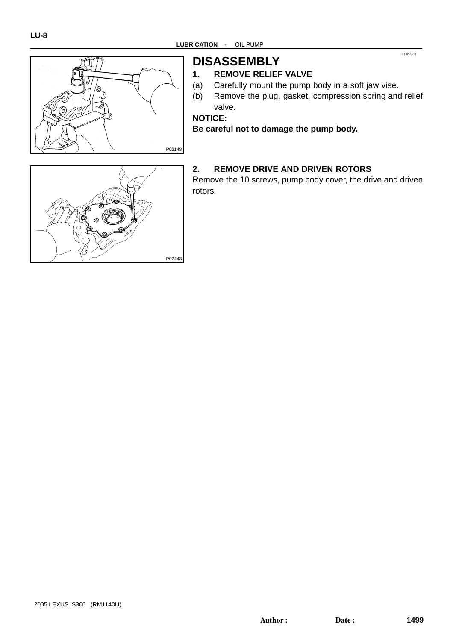

# **DISASSEMBLY**

#### **1. REMOVE RELIEF VALVE**

- (a) Carefully mount the pump body in a soft jaw vise.
- (b) Remove the plug, gasket, compression spring and relief valve.

LU05K-08

**NOTICE:**

**Be careful not to damage the pump body.**

# P02443

#### **2. REMOVE DRIVE AND DRIVEN ROTORS**

Remove the 10 screws, pump body cover, the drive and driven rotors.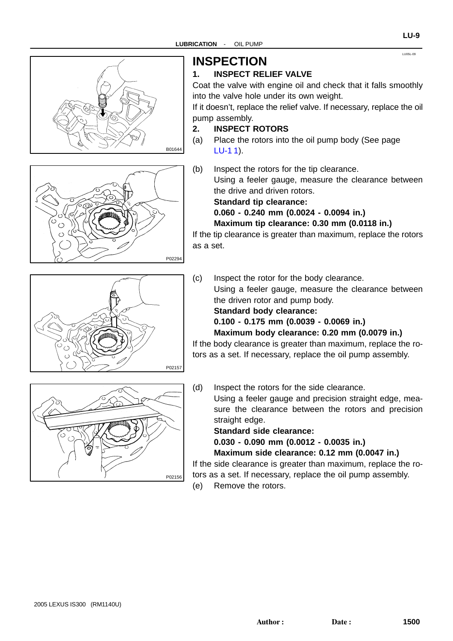



# **INSPECTION**

#### **1. INSPECT RELIEF VALVE**

Coat the valve with engine oil and check that it falls smoothly into the valve hole under its own weight.

If it doesn't, replace the relief valve. If necessary, replace the oil pump assembly.

#### **2. INSPECT ROTORS**

- (a) Place the rotors into the oil pump body (See page  $LU-11$ ).
- (b) Inspect the rotors for the tip clearance. Using a feeler gauge, measure the clearance between the drive and driven rotors.

#### **Standard tip clearance: 0.060 - 0.240 mm (0.0024 - 0.0094 in.)**

**Maximum tip clearance: 0.30 mm (0.0118 in.)** If the tip clearance is greater than maximum, replace the rotors

(c) Inspect the rotor for the body clearance. Using a feeler gauge, measure the clearance between the driven rotor and pump body. **Standard body clearance: 0.100 - 0.175 mm (0.0039 - 0.0069 in.) Maximum body clearance: 0.20 mm (0.0079 in.)**

If the body clearance is greater than maximum, replace the rotors as a set. If necessary, replace the oil pump assembly.

P02156

P02157

(d) Inspect the rotors for the side clearance.

Using a feeler gauge and precision straight edge, measure the clearance between the rotors and precision straight edge.

**Standard side clearance:**

**0.030 - 0.090 mm (0.0012 - 0.0035 in.)**

**Maximum side clearance: 0.12 mm (0.0047 in.)**

If the side clearance is greater than maximum, replace the rotors as a set. If necessary, replace the oil pump assembly.

(e) Remove the rotors.

LU05L-09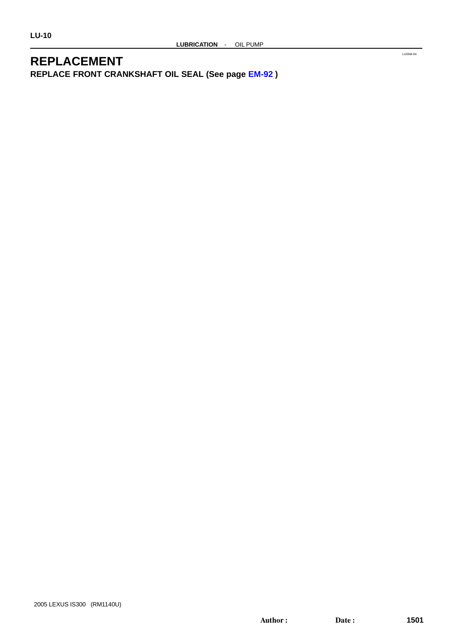# **REPLACEMENT**

**REPLACE FRONT CRANKSHAFT OIL SEAL (See page [EM-92](#page-0-0) )**

LU05M-04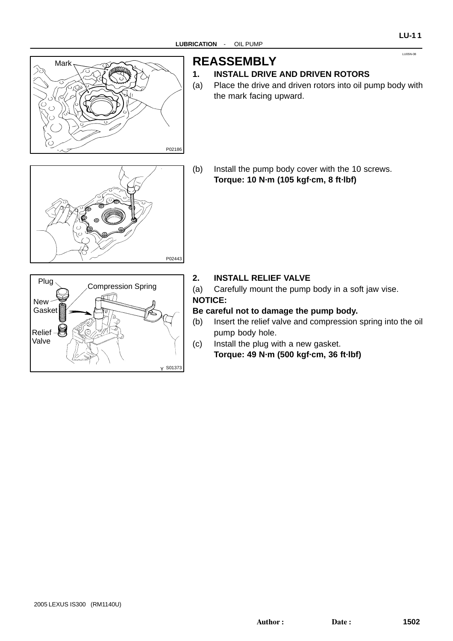

# **REASSEMBLY**

#### **1. INSTALL DRIVE AND DRIVEN ROTORS**

- (a) Place the drive and driven rotors into oil pump body with the mark facing upward.
- P02443
- (b) Install the pump body cover with the 10 screws. **Torque: 10 N·m (105 kgf·cm, 8 ft·lbf)**



#### **2. INSTALL RELIEF VALVE**

(a) Carefully mount the pump body in a soft jaw vise. **NOTICE:**

#### **Be careful not to damage the pump body.**

- (b) Insert the relief valve and compression spring into the oil pump body hole.
- (c) Install the plug with a new gasket. **Torque: 49 N·m (500 kgf·cm, 36 ft·lbf)**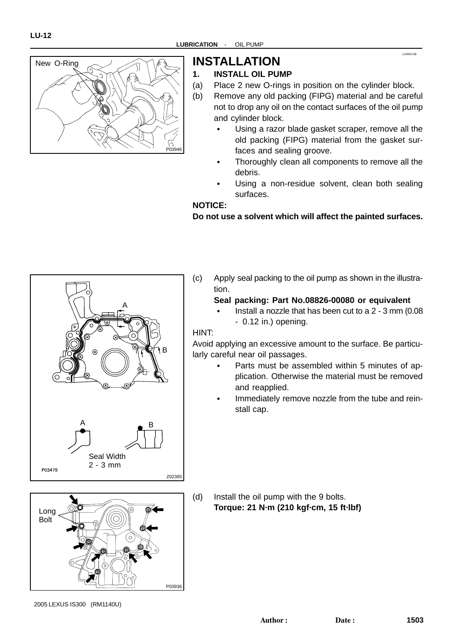

# **INSTALLATION**

#### **1. INSTALL OIL PUMP**

- (a) Place 2 new O-rings in position on the cylinder block.
- (b) Remove any old packing (FIPG) material and be careful not to drop any oil on the contact surfaces of the oil pump and cylinder block.
	- Using a razor blade gasket scraper, remove all the old packing (FIPG) material from the gasket surfaces and sealing groove.

LU05O-08

- Thoroughly clean all components to remove all the debris.
- Using a non-residue solvent, clean both sealing surfaces.

#### **NOTICE:**

#### **Do not use a solvent which will affect the painted surfaces.**





(c) Apply seal packing to the oil pump as shown in the illustration.

# **Seal packing: Part No.08826-00080 or equivalent**

 Install a nozzle that has been cut to a 2 - 3 mm (0.08 - 0.12 in.) opening.

#### HINT:

Avoid applying an excessive amount to the surface. Be particularly careful near oil passages.

- Parts must be assembled within 5 minutes of application. Otherwise the material must be removed and reapplied.
- Immediately remove nozzle from the tube and reinstall cap.

2005 LEXUS IS300 (RM1140U)

<sup>(</sup>d) Install the oil pump with the 9 bolts. **Torque: 21 N·m (210 kgf·cm, 15 ft·lbf)**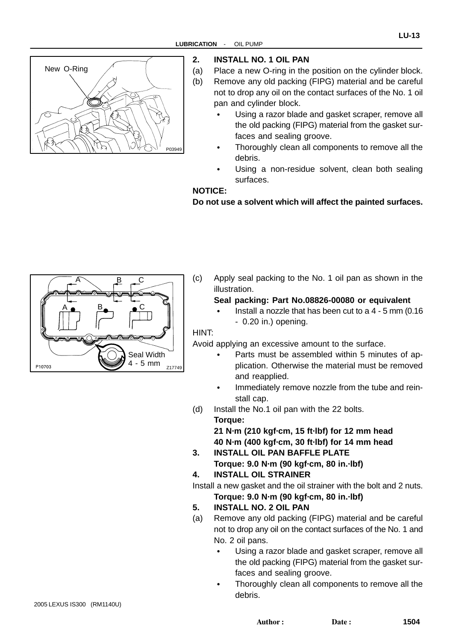

#### **2. INSTALL NO. 1 OIL PAN**

- (a) Place a new O-ring in the position on the cylinder block. (b) Remove any old packing (FIPG) material and be careful not to drop any oil on the contact surfaces of the No. 1 oil pan and cylinder block.
	- Using a razor blade and gasket scraper, remove all the old packing (FIPG) material from the gasket surfaces and sealing groove.
	- Thoroughly clean all components to remove all the debris.
	- Using a non-residue solvent, clean both sealing surfaces.

#### **NOTICE:**

**Do not use a solvent which will affect the painted surfaces.**



(c) Apply seal packing to the No. 1 oil pan as shown in the illustration.

# **Seal packing: Part No.08826-00080 or equivalent**

 Install a nozzle that has been cut to a 4 - 5 mm (0.16 - 0.20 in.) opening.

#### HINT:

Avoid applying an excessive amount to the surface.

- Parts must be assembled within 5 minutes of application. Otherwise the material must be removed and reapplied.
- Immediately remove nozzle from the tube and reinstall cap.
- (d) Install the No.1 oil pan with the 22 bolts. **Torque:**

**21 N·m (210 kgf·cm, 15 ft·lbf) for 12 mm head 40 N·m (400 kgf·cm, 30 ft·lbf) for 14 mm head**

- **3. INSTALL OIL PAN BAFFLE PLATE Torque: 9.0 N·m (90 kgf·cm, 80 in.·lbf)**
- **4. INSTALL OIL STRAINER**

Install a new gasket and the oil strainer with the bolt and 2 nuts. **Torque: 9.0 N·m (90 kgf·cm, 80 in.·lbf)**

- **5. INSTALL NO. 2 OIL PAN**
- (a) Remove any old packing (FIPG) material and be careful not to drop any oil on the contact surfaces of the No. 1 and No. 2 oil pans.
	- Using a razor blade and gasket scraper, remove all the old packing (FIPG) material from the gasket surfaces and sealing groove.
	- Thoroughly clean all components to remove all the debris.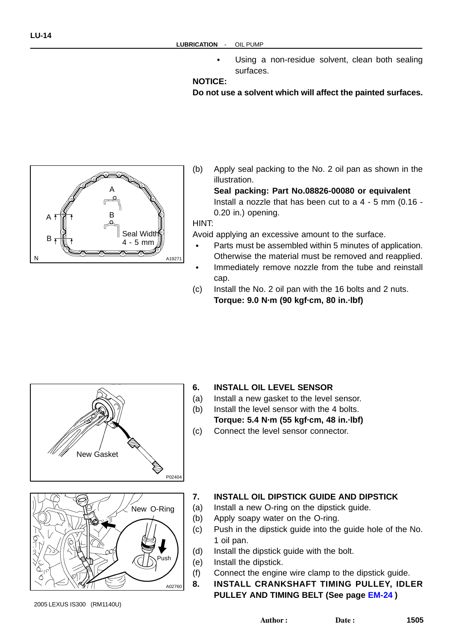Using a non-residue solvent, clean both sealing surfaces.

#### **NOTICE:**

**Do not use a solvent which will affect the painted surfaces.**

- A19271 A  $A \uparrow \uparrow$   $B$  $\mathsf{B}$   $\overline{\mathsf{B}}$   $\overline{\mathsf{B}}$   $\overline{\mathsf{B}}$   $\overline{\mathsf{B}}$   $\overline{\mathsf{B}}$   $\overline{\mathsf{B}}$   $\overline{\mathsf{B}}$   $\overline{\mathsf{B}}$   $\overline{\mathsf{B}}$   $\overline{\mathsf{B}}$   $\overline{\mathsf{B}}$   $\overline{\mathsf{B}}$   $\overline{\mathsf{B}}$   $\overline{\mathsf{B}}$   $\overline{\mathsf{B}}$   $\overline{\mathsf{B}}$   $\overline{\mathsf{B}}$   $\overline{\mathsf{$ 4 - 5 mm
- (b) Apply seal packing to the No. 2 oil pan as shown in the illustration.

**Seal packing: Part No.08826-00080 or equivalent** Install a nozzle that has been cut to a 4 - 5 mm (0.16 - 0.20 in.) opening.

HINT:

Avoid applying an excessive amount to the surface.

- Parts must be assembled within 5 minutes of application. Otherwise the material must be removed and reapplied.
- Immediately remove nozzle from the tube and reinstall cap.
- (c) Install the No. 2 oil pan with the 16 bolts and 2 nuts. **Torque: 9.0 N·m (90 kgf·cm, 80 in.·lbf)**





#### **6. INSTALL OIL LEVEL SENSOR**

- (a) Install a new gasket to the level sensor.
- (b) Install the level sensor with the 4 bolts.

**Torque: 5.4 N·m (55 kgf·cm, 48 in.·lbf)**

(c) Connect the level sensor connector.

#### **7. INSTALL OIL DIPSTICK GUIDE AND DIPSTICK**

- (a) Install a new O-ring on the dipstick guide.
- (b) Apply soapy water on the O-ring.
- (c) Push in the dipstick guide into the guide hole of the No. 1 oil pan.
- (d) Install the dipstick guide with the bolt.
- (e) Install the dipstick.
- (f) Connect the engine wire clamp to the dipstick guide.
- **8. INSTALL CRANKSHAFT TIMING PULLEY, IDLER PULLEY AND TIMING BELT (See page [EM-24](#page-0-0) )**